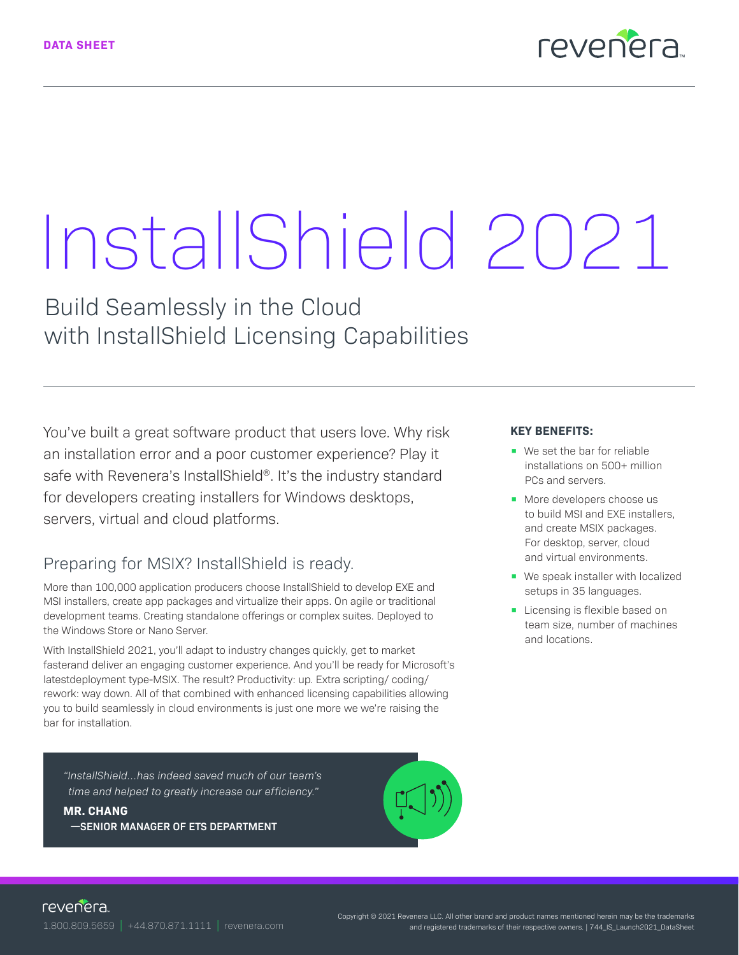

# InstallShield 2021

Build Seamlessly in the Cloud with InstallShield Licensing Capabilities

You've built a great software product that users love. Why risk an installation error and a poor customer experience? Play it safe with Revenera's InstallShield®. It's the industry standard for developers creating installers for Windows desktops, servers, virtual and cloud platforms.

### Preparing for MSIX? InstallShield is ready.

More than 100,000 application producers choose InstallShield to develop EXE and MSI installers, create app packages and virtualize their apps. On agile or traditional development teams. Creating standalone offerings or complex suites. Deployed to the Windows Store or Nano Server.

With InstallShield 2021, you'll adapt to industry changes quickly, get to market fasterand deliver an engaging customer experience. And you'll be ready for Microsoft's latestdeployment type-MSIX. The result? Productivity: up. Extra scripting/ coding/ rework: way down. All of that combined with enhanced licensing capabilities allowing you to build seamlessly in cloud environments is just one more we we're raising the bar for installation.

*"InstallShield…has indeed saved much of our team's time and helped to greatly increase our efficiency."*

**MR. CHANG**

**—SENIOR MANAGER OF ETS DEPARTMENT** 



#### **KEY BENEFITS:**

- We set the bar for reliable installations on 500+ million PCs and servers.
- More developers choose us to build MSI and EXE installers, and create MSIX packages. For desktop, server, cloud and virtual environments.
- We speak installer with localized setups in 35 languages.
- Licensing is flexible based on team size, number of machines and locations.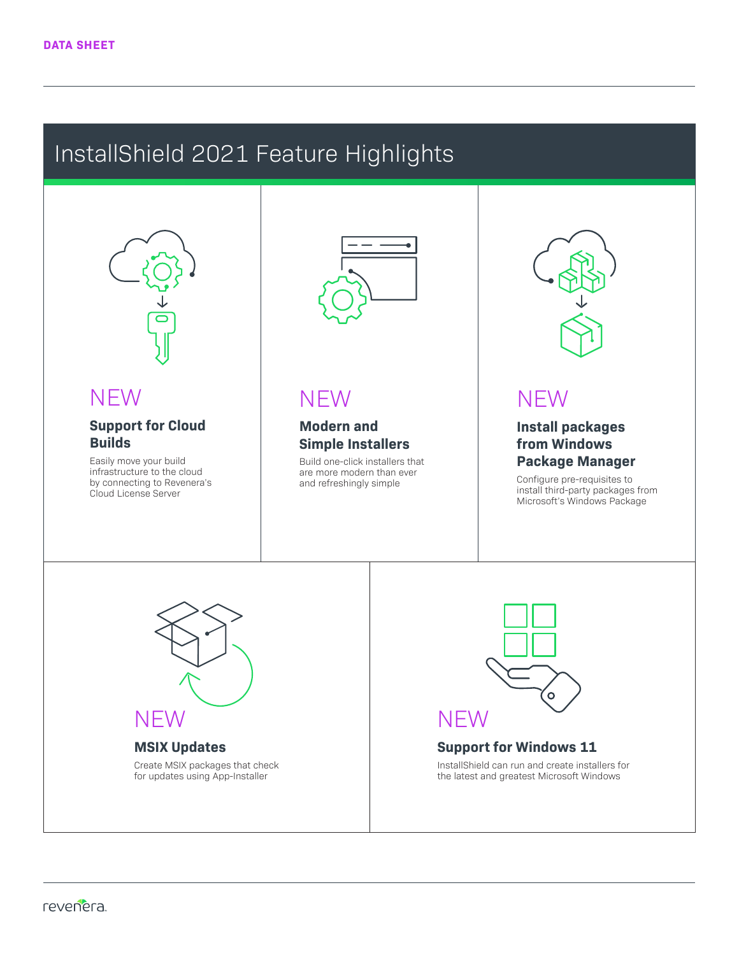## InstallShield 2021 Feature Highlights

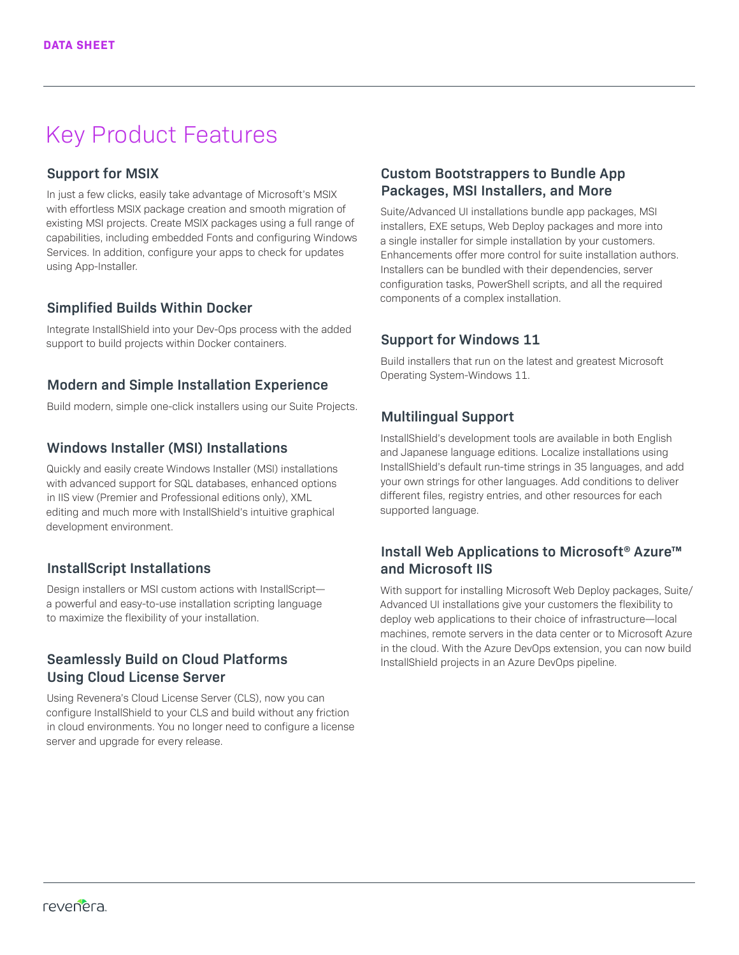## Key Product Features

#### **Support for MSIX**

In just a few clicks, easily take advantage of Microsoft's MSIX with effortless MSIX package creation and smooth migration of existing MSI projects. Create MSIX packages using a full range of capabilities, including embedded Fonts and configuring Windows Services. In addition, configure your apps to check for updates using App-Installer.

#### **Simplified Builds Within Docker**

Integrate InstallShield into your Dev-Ops process with the added support to build projects within Docker containers.

#### **Modern and Simple Installation Experience**

Build modern, simple one-click installers using our Suite Projects.

#### **Windows Installer (MSI) Installations**

Quickly and easily create Windows Installer (MSI) installations with advanced support for SQL databases, enhanced options in IIS view (Premier and Professional editions only), XML editing and much more with InstallShield's intuitive graphical development environment.

#### **InstallScript Installations**

Design installers or MSI custom actions with InstallScript a powerful and easy-to-use installation scripting language to maximize the flexibility of your installation.

#### **Seamlessly Build on Cloud Platforms Using Cloud License Server**

Using Revenera's Cloud License Server (CLS), now you can configure InstallShield to your CLS and build without any friction in cloud environments. You no longer need to configure a license server and upgrade for every release.

#### **Custom Bootstrappers to Bundle App Packages, MSI Installers, and More**

Suite/Advanced UI installations bundle app packages, MSI installers, EXE setups, Web Deploy packages and more into a single installer for simple installation by your customers. Enhancements offer more control for suite installation authors. Installers can be bundled with their dependencies, server configuration tasks, PowerShell scripts, and all the required components of a complex installation.

#### **Support for Windows 11**

Build installers that run on the latest and greatest Microsoft Operating System-Windows 11.

#### **Multilingual Support**

InstallShield's development tools are available in both English and Japanese language editions. Localize installations using InstallShield's default run-time strings in 35 languages, and add your own strings for other languages. Add conditions to deliver different files, registry entries, and other resources for each supported language.

#### **Install Web Applications to Microsoft® Azure™ and Microsoft IIS**

With support for installing Microsoft Web Deploy packages, Suite/ Advanced UI installations give your customers the flexibility to deploy web applications to their choice of infrastructure—local machines, remote servers in the data center or to Microsoft Azure in the cloud. With the Azure DevOps extension, you can now build InstallShield projects in an Azure DevOps pipeline.